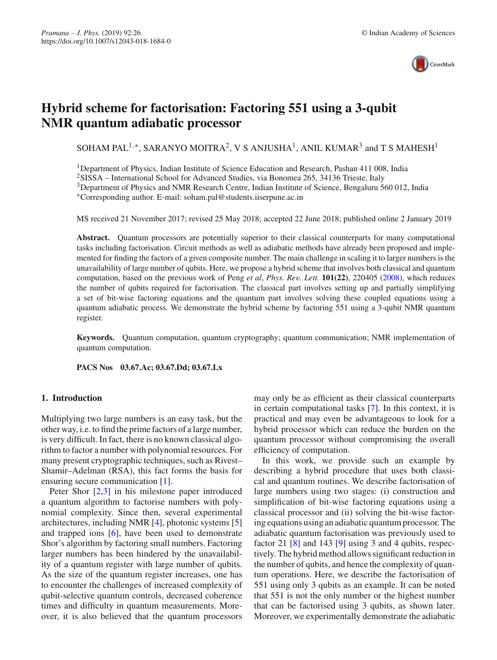

# **Hybrid scheme for factorisation: Factoring 551 using a 3-qubit NMR quantum adiabatic processor**

SOHAM PAL<sup>1,\*</sup>, SARANYO MOITRA<sup>2</sup>, V S ANJUSHA<sup>1</sup>, ANIL KUMAR<sup>3</sup> and T S MAHESH<sup>1</sup>

<sup>1</sup>Department of Physics, Indian Institute of Science Education and Research, Pashan 411 008, India

<sup>2</sup>SISSA – International School for Advanced Studies, via Bonomea 265, 34136 Trieste, Italy

<sup>3</sup>Department of Physics and NMR Research Centre, Indian Institute of Science, Bengaluru 560 012, India

∗Corresponding author. E-mail: soham.pal@students.iiserpune.ac.in

MS received 21 November 2017; revised 25 May 2018; accepted 22 June 2018; published online 2 January 2019

**Abstract.** Quantum processors are potentially superior to their classical counterparts for many computational tasks including factorisation. Circuit methods as well as adiabatic methods have already been proposed and implemented for finding the factors of a given composite number. The main challenge in scaling it to larger numbers is the unavailability of large number of qubits. Here, we propose a hybrid scheme that involves both classical and quantum computation, based on the previous work of Peng *et al*, *Phys. Rev. Lett.* **101(22)**, 220405 [\(2008\)](#page-7-0), which reduces the number of qubits required for factorisation. The classical part involves setting up and partially simplifying a set of bit-wise factoring equations and the quantum part involves solving these coupled equations using a quantum adiabatic process. We demonstrate the hybrid scheme by factoring 551 using a 3-qubit NMR quantum register.

**Keywords.** Quantum computation, quantum cryptography; quantum communication; NMR implementation of quantum computation.

**PACS Nos 03.67.Ac; 03.67.Dd; 03.67.Lx**

# **1. Introduction**

Multiplying two large numbers is an easy task, but the other way, i.e. to find the prime factors of a large number, is very difficult. In fact, there is no known classical algorithm to factor a number with polynomial resources. For many present cryptographic techniques, such as Rivest– Shamir–Adelman (RSA), this fact forms the basis for ensuring secure communication [\[1\]](#page-7-1).

Peter Shor [\[2](#page-7-2)[,3](#page-7-3)] in his milestone paper introduced a quantum algorithm to factorise numbers with polynomial complexity. Since then, several experimental architectures, including NMR [\[4\]](#page-7-4), photonic systems [\[5\]](#page-7-5) and trapped ions [\[6\]](#page-7-6), have been used to demonstrate Shor's algorithm by factoring small numbers. Factoring larger numbers has been hindered by the unavailability of a quantum register with large number of qubits. As the size of the quantum register increases, one has to encounter the challenges of increased complexity of qubit-selective quantum controls, decreased coherence times and difficulty in quantum measurements. Moreover, it is also believed that the quantum processors may only be as efficient as their classical counterparts in certain computational tasks [\[7\]](#page-7-7). In this context, it is practical and may even be advantageous to look for a hybrid processor which can reduce the burden on the quantum processor without compromising the overall efficiency of computation.

In this work, we provide such an example by describing a hybrid procedure that uses both classical and quantum routines. We describe factorisation of large numbers using two stages: (i) construction and simplification of bit-wise factoring equations using a classical processor and (ii) solving the bit-wise factoring equations using an adiabatic quantum processor. The adiabatic quantum factorisation was previously used to factor 21 [\[8](#page-7-0)] and 143 [\[9](#page-7-8)] using 3 and 4 qubits, respectively. The hybrid method allows significant reduction in the number of qubits, and hence the complexity of quantum operations. Here, we describe the factorisation of 551 using only 3 qubits as an example. It can be noted that 551 is not the only number or the highest number that can be factorised using 3 qubits, as shown later. Moreover, we experimentally demonstrate the adiabatic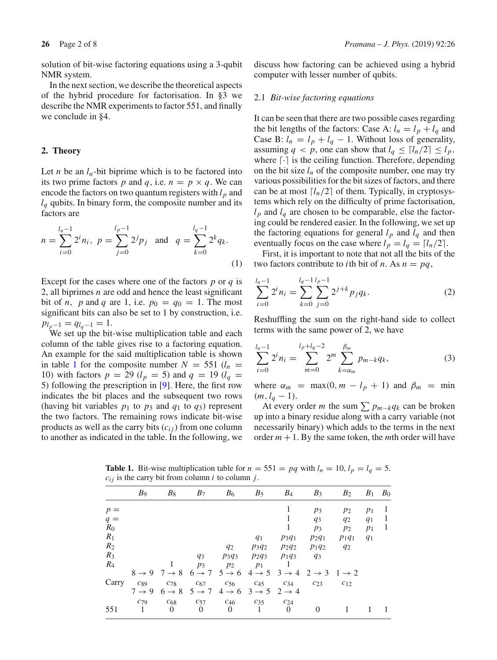solution of bit-wise factoring equations using a 3-qubit NMR system.

In the next section, we describe the theoretical aspects of the hybrid procedure for factorisation. In §3 we describe the NMR experiments to factor 551, and finally we conclude in §4.

## **2. Theory**

Let *n* be an  $l_n$ -bit biprime which is to be factored into its two prime factors p and q, i.e.  $n = p \times q$ . We can encode the factors on two quantum registers with  $l_p$  and  $l_q$  qubits. In binary form, the composite number and its factors are

$$
n = \sum_{i=0}^{l_n - 1} 2^i n_i, \ p = \sum_{j=0}^{l_p - 1} 2^j p_j \quad \text{and} \quad q = \sum_{k=0}^{l_q - 1} 2^k q_k.
$$
\n(1)

Except for the cases where one of the factors *p* or *q* is 2, all biprimes *n* are odd and hence the least significant bit of *n*, *p* and *q* are 1, i.e.  $p_0 = q_0 = 1$ . The most significant bits can also be set to 1 by construction, i.e.  $p_{l_p-1} = q_{l_q-1} = 1.$ 

We set up the bit-wise multiplication table and each column of the table gives rise to a factoring equation. An example for the said multiplication table is shown in table [1](#page-1-0) for the composite number  $N = 551$  ( $l_n =$ 10) with factors  $p = 29$  ( $l_p = 5$ ) and  $q = 19$  ( $l_q =$ 5) following the prescription in [\[9](#page-7-8)]. Here, the first row indicates the bit places and the subsequent two rows (having bit variables  $p_1$  to  $p_3$  and  $q_1$  to  $q_3$ ) represent the two factors. The remaining rows indicate bit-wise products as well as the carry bits  $(c_{ij})$  from one column to another as indicated in the table. In the following, we discuss how factoring can be achieved using a hybrid computer with lesser number of qubits.

## 2.1 *Bit-wise factoring equations*

It can be seen that there are two possible cases regarding the bit lengths of the factors: Case A:  $l_n = l_p + l_q$  and Case B:  $l_n = l_p + l_q - 1$ . Without loss of generality, assuming  $q < p$ , one can show that  $l_q \leq \lfloor l_n/2 \rfloor \leq l_p$ , where  $\lceil \cdot \rceil$  is the ceiling function. Therefore, depending on the bit size  $l_n$  of the composite number, one may try various possibilities for the bit sizes of factors, and there can be at most  $\lceil l_n/2 \rceil$  of them. Typically, in cryptosystems which rely on the difficulty of prime factorisation,  $l_p$  and  $l_q$  are chosen to be comparable, else the factoring could be rendered easier. In the following, we set up the factoring equations for general  $l_p$  and  $l_q$  and then eventually focus on the case where  $l_p = l_q = \lfloor l_n/2 \rfloor$ .

First, it is important to note that not all the bits of the two factors contribute to *i*th bit of *n*. As  $n = pq$ ,

$$
\sum_{i=0}^{l_n-1} 2^i n_i = \sum_{k=0}^{l_q-1} \sum_{j=0}^{l_p-1} 2^{j+k} p_j q_k.
$$
 (2)

Reshuffling the sum on the right-hand side to collect terms with the same power of 2, we have

<span id="page-1-1"></span>
$$
\sum_{i=0}^{l_n-1} 2^i n_i = \sum_{m=0}^{l_p+l_q-2} 2^m \sum_{k=\alpha_m}^{\beta_m} p_{m-k} q_k,
$$
 (3)

where  $\alpha_m$  = max(0,  $m - l_p + 1$ ) and  $\beta_m$  = min  $(m, l_q - 1).$ 

At every order *m* the sum  $\sum p_{m-k}q_k$  can be broken up into a binary residue along with a carry variable (not necessarily binary) which adds to the terms in the next order  $m + 1$ . By the same token, the *m*th order will have

<span id="page-1-0"></span>**Table 1.** Bit-wise multiplication table for  $n = 551 = pq$  with  $l_n = 10$ ,  $l_p = l_q = 5$ .  $c_{ij}$  is the carry bit from column *i* to column *j*.

|       | B <sub>9</sub>    | $B_8$    | $B_7$                                                                                                                                           | $B_6$             | $B_5$    | $B_4$    | $B_3$    | $B_2$    | $B_1$ | B <sub>0</sub> |
|-------|-------------------|----------|-------------------------------------------------------------------------------------------------------------------------------------------------|-------------------|----------|----------|----------|----------|-------|----------------|
| $p =$ |                   |          |                                                                                                                                                 |                   |          | 1        | $p_3$    | $p_2$    | $p_1$ | -1             |
| $q =$ |                   |          |                                                                                                                                                 |                   |          |          | $q_3$    | $q_2$    | $q_1$ | -1             |
| $R_0$ |                   |          |                                                                                                                                                 |                   |          | 1        | $p_3$    | $p_2$    | $p_1$ | - 1            |
| $R_1$ |                   |          |                                                                                                                                                 |                   | $q_1$    | $p_3q_1$ | $p_2q_1$ | $p_1q_1$ | $q_1$ |                |
| $R_2$ |                   |          |                                                                                                                                                 | $q_2$             | $p_3q_2$ | $p_2q_2$ | $p_1q_2$ | $q_2$    |       |                |
| $R_3$ |                   |          | $q_3$                                                                                                                                           | $p_3q_3$          | $p_2q_3$ | $p_1q_3$ | $q_3$    |          |       |                |
| $R_4$ |                   |          | $p_3$                                                                                                                                           | $p_2$             | $p_1$    |          |          |          |       |                |
|       |                   |          | $8 \rightarrow 9$ 7 $\rightarrow 8$ 6 $\rightarrow$ 7 5 $\rightarrow$ 6 4 $\rightarrow$ 5 3 $\rightarrow$ 4 2 $\rightarrow$ 3 1 $\rightarrow$ 2 |                   |          |          |          |          |       |                |
| Carry | $c_{89}$          | $C_{78}$ | $c_{67}$                                                                                                                                        | $c_{56}$          | $c_{45}$ | $c_{34}$ | $c_{23}$ | $c_{12}$ |       |                |
|       | $7 \rightarrow 9$ |          | $6 \rightarrow 8$ $5 \rightarrow 7$ $4 \rightarrow 6$ $3 \rightarrow 5$ $2 \rightarrow 4$                                                       |                   |          |          |          |          |       |                |
|       | $C_{79}$          | $c_{68}$ | $c_{57}$                                                                                                                                        | $c_{46}$ $c_{35}$ |          | $c_{24}$ |          |          |       |                |
| 551   | -1                | $\Omega$ | $\Omega$                                                                                                                                        | $\Omega$          |          | $\Omega$ | 0        |          |       |                |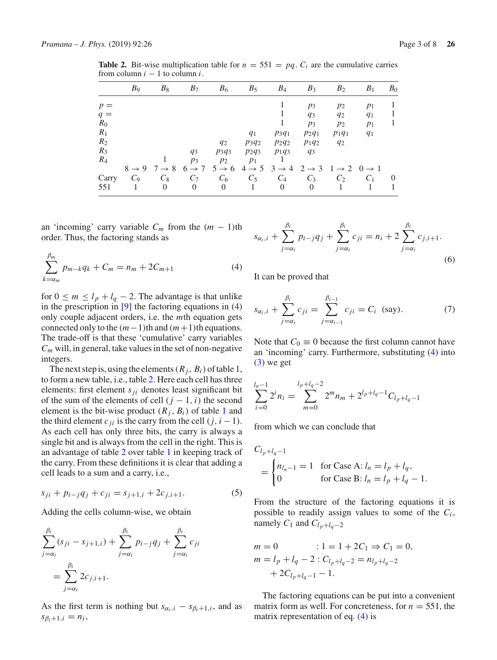|       | B <sub>9</sub> | $B_8$                               | $B_7$             | $B_6$             | $B_5$    | $B_4$                                                                                     | $B_3$    | $B_2$          | $B_1$ | $B_0$    |
|-------|----------------|-------------------------------------|-------------------|-------------------|----------|-------------------------------------------------------------------------------------------|----------|----------------|-------|----------|
| $p =$ |                |                                     |                   |                   |          |                                                                                           | $p_3$    | $p_2$          | $p_1$ |          |
| $q =$ |                |                                     |                   |                   |          |                                                                                           | $q_3$    | $q_2$          | $q_1$ |          |
| $R_0$ |                |                                     |                   |                   |          | 1                                                                                         | $p_3$    | $p_2$          | $p_1$ |          |
| $R_1$ |                |                                     |                   |                   | $q_1$    | $p_3q_1$                                                                                  | $p_2q_1$ | $p_1q_1$       | $q_1$ |          |
| $R_2$ |                |                                     |                   | $q_2$             | $p_3q_2$ | $p_2q_2$                                                                                  | $p_1q_2$ | $q_2$          |       |          |
| $R_3$ |                |                                     | $q_3$             | $p_3q_3$          | $p_2q_3$ | $p_1q_3$                                                                                  | $q_3$    |                |       |          |
| $R_4$ |                |                                     | $p_3$             | $p_2$             | $p_1$    |                                                                                           |          |                |       |          |
|       |                | $8 \rightarrow 9$ 7 $\rightarrow 8$ | $6 \rightarrow 7$ | $5 \rightarrow 6$ |          | $4 \rightarrow 5$ $3 \rightarrow 4$ $2 \rightarrow 3$ $1 \rightarrow 2$ $0 \rightarrow 1$ |          |                |       |          |
| Carry | $C_9$          | $C_8$                               | $C_7$             | $C_6$             | $C_5$    | $C_4$                                                                                     | $C_3$    | C <sub>2</sub> | $C_1$ | $\theta$ |
| 551   |                | $\Omega$                            | $\theta$          | $\Omega$          |          | $\Omega$                                                                                  | $\theta$ |                |       |          |

<span id="page-2-1"></span>**Table 2.** Bit-wise multiplication table for  $n = 551 = pq$ .  $C_i$  are the cumulative carries from column  $i - 1$  to column  $i$ .

an 'incoming' carry variable  $C_m$  from the  $(m - 1)$ th order. Thus, the factoring stands as

<span id="page-2-0"></span>
$$
\sum_{k=\alpha_m}^{\beta_m} p_{m-k} q_k + C_m = n_m + 2C_{m+1}
$$
 (4)

for  $0 \le m \le l_p + l_q - 2$ . The advantage is that unlike in the prescription in  $[9]$  $[9]$  the factoring equations in  $(4)$ only couple adjacent orders, i.e. the *m*th equation gets connected only to the  $(m-1)$ th and  $(m+1)$ th equations. The trade-off is that these 'cumulative' carry variables  $C_m$  will, in general, take values in the set of non-negative integers.

The next step is, using the elements  $(R_i, B_i)$  of table [1,](#page-1-0) to form a new table, i.e., table [2.](#page-2-1) Here each cell has three elements: first element *sji* denotes least significant bit of the sum of the elements of cell  $(j - 1, i)$  the second element is the bit-wise product  $(R_i, B_i)$  of table [1](#page-1-0) and the third element  $c_{ii}$  is the carry from the cell  $(j, i - 1)$ . As each cell has only three bits, the carry is always a single bit and is always from the cell in the right. This is an advantage of table [2](#page-2-1) over table [1](#page-1-0) in keeping track of the carry. From these definitions it is clear that adding a cell leads to a sum and a carry, i.e.,

$$
s_{ji} + p_{i-j}q_j + c_{ji} = s_{j+1,i} + 2c_{j,i+1}.
$$
 (5)

Adding the cells column-wise, we obtain

$$
\sum_{j=\alpha_i}^{\beta_i} (s_{ji} - s_{j+1,i}) + \sum_{j=\alpha_i}^{\beta_i} p_{i-j} q_j + \sum_{j=\alpha_i}^{\beta_i} c_{ji}
$$
  
= 
$$
\sum_{j=\alpha_i}^{\beta_i} 2c_{j,i+1}.
$$

As the first term is nothing but  $s_{\alpha_i,i} - s_{\beta_i+1,i}$ , and as  $s_{\beta_i+1,i} = n_i,$ 

$$
s_{\alpha_i, i} + \sum_{j=\alpha_i}^{\beta_i} p_{i-j} q_j + \sum_{j=\alpha_i}^{\beta_i} c_{ji} = n_i + 2 \sum_{j=\alpha_i}^{\beta_i} c_{j,i+1}.
$$
\n(6)

It can be proved that

$$
s_{\alpha_i, i} + \sum_{j=\alpha_i}^{\beta_i} c_{ji} = \sum_{j=\alpha_{i-1}}^{\beta_{i-1}} c_{ji} = C_i \text{ (say)}.
$$
 (7)

Note that  $C_0 \equiv 0$  because the first column cannot have an 'incoming' carry. Furthermore, substituting [\(4\)](#page-2-0) into  $(3)$  we get

$$
\sum_{i=0}^{l_n-1} 2^i n_i = \sum_{m=0}^{l_p+l_q-2} 2^m n_m + 2^{l_p+l_q-1} C_{l_p+l_q-1}
$$

from which we can conclude that

$$
C_{l_p+l_q-1}
$$
  
=  $\begin{cases} n_{l_n-1} = 1 & \text{for Case A: } l_n = l_p + l_q, \\ 0 & \text{for Case B: } l_n = l_p + l_q - 1. \end{cases}$ 

From the structure of the factoring equations it is possible to readily assign values to some of the  $C_i$ , namely  $C_1$  and  $C_{l_p+l_q-2}$ 

$$
m = 0 \t : 1 = 1 + 2C_1 \Rightarrow C_1 = 0,
$$
  
\n
$$
m = l_p + l_q - 2 : C_{l_p + l_q - 2} = n_{l_p + l_q - 2}
$$
  
\n
$$
+ 2C_{l_p + l_q - 1} - 1.
$$

The factoring equations can be put into a convenient matrix form as well. For concreteness, for  $n = 551$ , the matrix representation of eq. [\(4\)](#page-2-0) is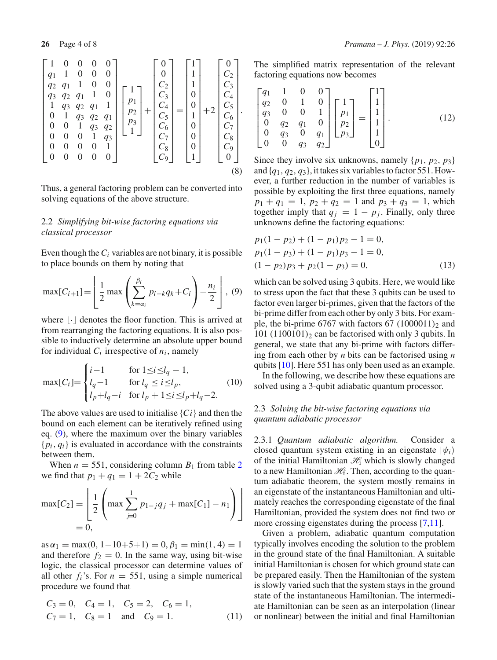$$
\begin{bmatrix} 1 & 0 & 0 & 0 & 0 \ q_1 & 1 & 0 & 0 & 0 \ q_2 & q_1 & 1 & 0 & 0 \ q_3 & q_2 & q_1 & 1 & 0 \ 1 & q_3 & q_2 & q_1 & 1 \ 0 & 1 & q_3 & q_2 & q_1 \ 0 & 0 & 1 & q_3 & q_2 \ 0 & 0 & 0 & 1 & q_3 \ 0 & 0 & 0 & 0 & 1 \ 0 & 0 & 0 & 0 & 0 \end{bmatrix} \begin{bmatrix} 1 \\ 0 \\ p_1 \\ p_2 \\ p_3 \\ 1 \end{bmatrix} + \begin{bmatrix} 0 \\ 0 \\ C_2 \\ C_3 \\ C_4 \\ C_5 \\ C_6 \\ C_7 \\ C_8 \\ C_9 \end{bmatrix} = \begin{bmatrix} 1 \\ 1 \\ 0 \\ 0 \\ 1 \\ 0 \\ 0 \\ 0 \\ 0 \\ 0 \end{bmatrix} + 2 \begin{bmatrix} 0 \\ C_2 \\ C_3 \\ C_4 \\ C_5 \\ C_6 \\ C_7 \\ C_8 \\ C_9 \\ C_9 \end{bmatrix}.
$$

Thus, a general factoring problem can be converted into solving equations of the above structure.

# 2.2 *Simplifying bit-wise factoring equations via classical processor*

Even though the  $C_i$  variables are not binary, it is possible to place bounds on them by noting that

<span id="page-3-0"></span>
$$
\max[C_{i+1}] = \left[ \frac{1}{2} \max \left( \sum_{k=\alpha_i}^{\beta_i} p_{i-k} q_k + C_i \right) - \frac{n_i}{2} \right], (9)
$$

where  $\lfloor \cdot \rfloor$  denotes the floor function. This is arrived at from rearranging the factoring equations. It is also possible to inductively determine an absolute upper bound for individual  $C_i$  irrespective of  $n_i$ , namely

<span id="page-3-3"></span>
$$
\max[C_i] = \begin{cases} i-1 & \text{for } 1 \le i \le l_q - 1, \\ l_q - 1 & \text{for } l_q \le i \le l_p, \\ l_p + l_q - i & \text{for } l_p + 1 \le i \le l_p + l_q - 2. \end{cases} \tag{10}
$$

The above values are used to initialise {*Ci*} and then the bound on each element can be iteratively refined using eq. [\(9\)](#page-3-0), where the maximum over the binary variables {*pi*, *qi*} is evaluated in accordance with the constraints between them.

When  $n = 551$ , considering column  $B_1$  from table [2](#page-2-1) we find that  $p_1 + q_1 = 1 + 2C_2$  while

$$
\max[C_2] = \left[ \frac{1}{2} \left( \max \sum_{j=0}^{1} p_{1-j} q_j + \max[C_1] - n_1 \right) \right]
$$
  
= 0,

 $as \alpha_1 = \max(0, 1 - 10 + 5 + 1) = 0, \beta_1 = \min(1, 4) = 1$ and therefore  $f_2 = 0$ . In the same way, using bit-wise logic, the classical processor can determine values of all other  $f_i$ 's. For  $n = 551$ , using a simple numerical procedure we found that

$$
C_3 = 0
$$
,  $C_4 = 1$ ,  $C_5 = 2$ ,  $C_6 = 1$ ,  
\n $C_7 = 1$ ,  $C_8 = 1$  and  $C_9 = 1$ . (11)

The simplified matrix representation of the relevant factoring equations now becomes

$$
\begin{bmatrix} q_1 & 1 & 0 & 0 \ q_2 & 0 & 1 & 0 \ q_3 & 0 & 0 & 1 \ 0 & q_2 & q_1 & 0 \ 0 & q_3 & 0 & q_1 \ 0 & 0 & q_3 & q_2 \end{bmatrix} \begin{bmatrix} 1 \ p_1 \ p_2 \ p_3 \end{bmatrix} = \begin{bmatrix} 1 \ 1 \ 1 \ 1 \ 1 \ 0 \end{bmatrix}.
$$
 (12)

<span id="page-3-2"></span>Since they involve six unknowns, namely  $\{p_1, p_2, p_3\}$ and {*q*1, *q*2, *q*3}, it takes six variables to factor 551. However, a further reduction in the number of variables is possible by exploiting the first three equations, namely  $p_1 + q_1 = 1$ ,  $p_2 + q_2 = 1$  and  $p_3 + q_3 = 1$ , which together imply that  $q_i = 1 - p_i$ . Finally, only three unknowns define the factoring equations:

<span id="page-3-1"></span>
$$
p_1(1 - p_2) + (1 - p_1)p_2 - 1 = 0,
$$
  
\n
$$
p_1(1 - p_3) + (1 - p_1)p_3 - 1 = 0,
$$
  
\n
$$
(1 - p_2)p_3 + p_2(1 - p_3) = 0,
$$
\n(13)

which can be solved using 3 qubits. Here, we would like to stress upon the fact that these 3 qubits can be used to factor even larger bi-primes, given that the factors of the bi-prime differ from each other by only 3 bits. For example, the bi-prime 6767 with factors 67  $(1000011)_2$  and  $101$  (1100101)<sub>2</sub> can be factorised with only 3 qubits. In general, we state that any bi-prime with factors differing from each other by *n* bits can be factorised using *n* qubits [\[10](#page-7-9)]. Here 551 has only been used as an example.

In the following, we describe how these equations are solved using a 3-qubit adiabatic quantum processor.

# 2.3 *Solving the bit-wise factoring equations via quantum adiabatic processor*

2.3.1 *Quantum adiabatic algorithm.* Consider a closed quantum system existing in an eigenstate  $|\psi_i\rangle$ of the initial Hamiltonian *H*<sup>i</sup> which is slowly changed to a new Hamiltonian  $\mathcal{H}_f$ . Then, according to the quantum adiabatic theorem, the system mostly remains in an eigenstate of the instantaneous Hamiltonian and ultimately reaches the corresponding eigenstate of the final Hamiltonian, provided the system does not find two or more crossing eigenstates during the process [\[7](#page-7-7)[,11\]](#page-7-10).

Given a problem, adiabatic quantum computation typically involves encoding the solution to the problem in the ground state of the final Hamiltonian. A suitable initial Hamiltonian is chosen for which ground state can be prepared easily. Then the Hamiltonian of the system is slowly varied such that the system stays in the ground state of the instantaneous Hamiltonian. The intermediate Hamiltonian can be seen as an interpolation (linear or nonlinear) between the initial and final Hamiltonian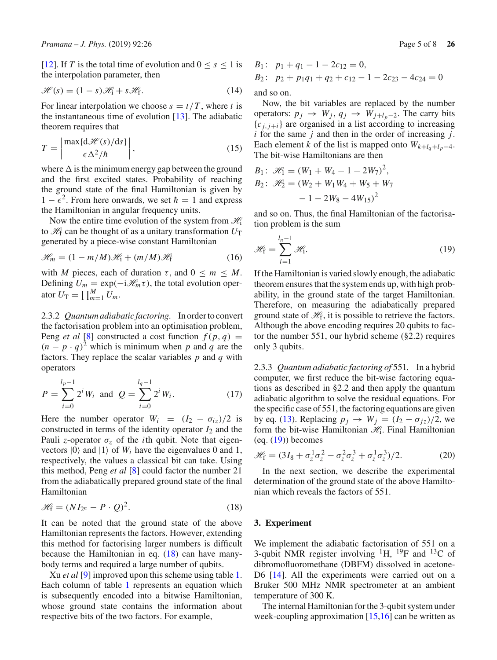[\[12](#page-7-11)]. If *T* is the total time of evolution and  $0 \le s \le 1$  is the interpolation parameter, then

$$
\mathcal{H}(s) = (1 - s)\mathcal{H}_1 + s\mathcal{H}_1.
$$
 (14)

For linear interpolation we choose  $s = t/T$ , where *t* is the instantaneous time of evolution [\[13](#page-7-12)]. The adiabatic theorem requires that

$$
T = \left| \frac{\max\{d\mathcal{H}(s)/ds\}}{\epsilon \Delta^2/\hbar} \right|,
$$
\n(15)

where  $\Delta$  is the minimum energy gap between the ground and the first excited states. Probability of reaching the ground state of the final Hamiltonian is given by  $1 - \epsilon^2$ . From here onwards, we set  $\hbar = 1$  and express the Hamiltonian in angular frequency units.

Now the entire time evolution of the system from *H*<sup>i</sup> to  $\mathcal{H}_f$  can be thought of as a unitary transformation  $U_T$ generated by a piece-wise constant Hamiltonian

$$
\mathcal{H}_m = (1 - m/M)\mathcal{H}_1 + (m/M)\mathcal{H}_f \tag{16}
$$

with *M* pieces, each of duration  $\tau$ , and  $0 \le m \le M$ . Defining  $U_m = \exp(-i \mathcal{H}_m \tau)$ , the total evolution operator  $U_T = \prod_{m=1}^{M} U_m$ .

2.3.2 *Quantum adiabatic factoring.* In order to convert the factorisation problem into an optimisation problem, Peng *et al* [\[8\]](#page-7-0) constructed a cost function  $f(p, q)$  =  $(n - p \cdot q)^2$  which is minimum when p and q are the factors. They replace the scalar variables *p* and *q* with operators

$$
P = \sum_{i=0}^{l_p - 1} 2^i W_i \text{ and } Q = \sum_{i=0}^{l_q - 1} 2^i W_i.
$$
 (17)

Here the number operator  $W_i = (I_2 - \sigma_{iz})/2$  is constructed in terms of the identity operator  $I_2$  and the Pauli *z*-operator  $\sigma_z$  of the *i*th qubit. Note that eigenvectors  $|0\rangle$  and  $|1\rangle$  of  $W_i$  have the eigenvalues 0 and 1, respectively, the values a classical bit can take. Using this method, Peng *et al* [\[8\]](#page-7-0) could factor the number 21 from the adiabatically prepared ground state of the final Hamiltonian

<span id="page-4-0"></span>
$$
\mathcal{H}_{f} = (NI_{2^n} - P \cdot Q)^2.
$$
 (18)

It can be noted that the ground state of the above Hamiltonian represents the factors. However, extending this method for factorising larger numbers is difficult because the Hamiltonian in eq.  $(18)$  can have manybody terms and required a large number of qubits.

Xu *et al* [\[9](#page-7-8)] improved upon this scheme using table [1.](#page-1-0) Each column of table [1](#page-1-0) represents an equation which is subsequently encoded into a bitwise Hamiltonian, whose ground state contains the information about respective bits of the two factors. For example,

B<sub>1</sub>: 
$$
p_1 + q_1 - 1 - 2c_{12} = 0
$$
,  
B<sub>2</sub>:  $p_2 + p_1q_1 + q_2 + c_{12} - 1 - 2c_{23} - 4c_{24} = 0$ 

and so on.

Now, the bit variables are replaced by the number operators:  $p_j \rightarrow W_j$ ,  $q_j \rightarrow W_{j+l_p-2}$ . The carry bits  ${c_{i,i+1}}$  are organised in a list according to increasing *i* for the same *j* and then in the order of increasing *j*. Each element *k* of the list is mapped onto  $W_{k+l_q+l_p-4}$ . The bit-wise Hamiltonians are then

$$
B_1: \mathcal{H}_1 = (W_1 + W_4 - 1 - 2W_7)^2,
$$
  
\n
$$
B_2: \mathcal{H}_2 = (W_2 + W_1W_4 + W_5 + W_7 - 1 - 2W_8 - 4W_{15})^2
$$

and so on. Thus, the final Hamiltonian of the factorisation problem is the sum

<span id="page-4-1"></span>
$$
\mathcal{H}_{\mathbf{f}} = \sum_{i=1}^{l_n - 1} \mathcal{H}_{\mathbf{i}}.
$$
 (19)

If the Hamiltonian is varied slowly enough, the adiabatic theorem ensures that the system ends up, with high probability, in the ground state of the target Hamiltonian. Therefore, on measuring the adiabatically prepared ground state of *H*f, it is possible to retrieve the factors. Although the above encoding requires 20 qubits to factor the number 551, our hybrid scheme (§2.2) requires only 3 qubits.

2.3.3 *Quantum adiabatic factoring of* 551*.* In a hybrid computer, we first reduce the bit-wise factoring equations as described in §2.2 and then apply the quantum adiabatic algorithm to solve the residual equations. For the specific case of 551, the factoring equations are given by eq. [\(13\)](#page-3-1). Replacing  $p_j \rightarrow W_j = (I_2 - \sigma_{jz})/2$ , we form the bit-wise Hamiltonian  $\mathcal{H}_i$ . Final Hamiltonian  $(eq. (19))$  $(eq. (19))$  $(eq. (19))$  becomes

$$
\mathcal{H}_{\rm f} = (3I_8 + \sigma_z^1 \sigma_z^2 - \sigma_z^2 \sigma_z^3 + \sigma_z^1 \sigma_z^3)/2. \tag{20}
$$

In the next section, we describe the experimental determination of the ground state of the above Hamiltonian which reveals the factors of 551.

#### **3. Experiment**

We implement the adiabatic factorisation of 551 on a 3-qubit NMR register involving  ${}^{1}H$ ,  ${}^{19}F$  and  ${}^{13}C$  of dibromofluoromethane (DBFM) dissolved in acetone-D6 [\[14\]](#page-7-13). All the experiments were carried out on a Bruker 500 MHz NMR spectrometer at an ambient temperature of 300 K.

The internal Hamiltonian for the 3-qubit system under week-coupling approximation [\[15](#page-7-14)[,16\]](#page-7-15) can be written as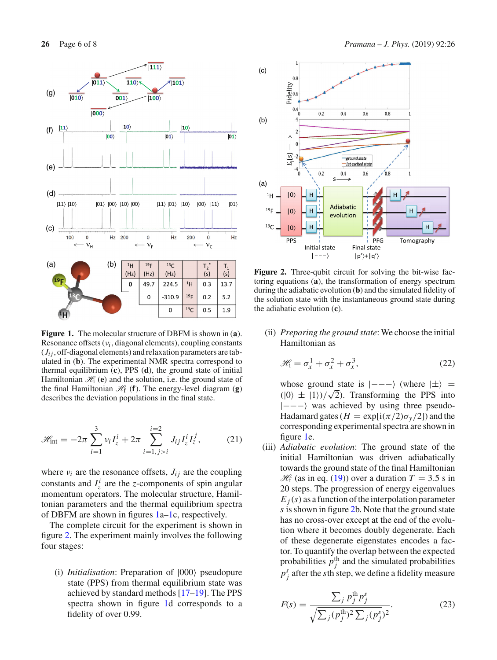

<span id="page-5-0"></span>**Figure 1.** The molecular structure of DBFM is shown in (**a**). Resonance offsets (ν*i* , diagonal elements), coupling constants  $(J_{ij},$  off-diagonal elements) and relaxation parameters are tabulated in (**b**). The experimental NMR spectra correspond to thermal equilibrium (**c**), PPS (**d**), the ground state of initial Hamiltonian  $\mathcal{H}_1$  (**e**) and the solution, i.e. the ground state of the final Hamiltonian  $\mathcal{H}_f$  (**f**). The energy-level diagram (**g**) describes the deviation populations in the final state.

$$
\mathcal{H}_{\text{int}} = -2\pi \sum_{i=1}^{3} v_i I_z^i + 2\pi \sum_{i=1, j>i}^{i=2} J_{ij} I_z^i I_z^j, \qquad (21)
$$

where  $v_i$  are the resonance offsets,  $J_{ij}$  are the coupling constants and  $I_z^i$  are the *z*-components of spin angular momentum operators. The molecular structure, Hamiltonian parameters and the thermal equilibrium spectra of DBFM are shown in figures [1a–1c](#page-5-0), respectively.

The complete circuit for the experiment is shown in figure [2.](#page-5-1) The experiment mainly involves the following four stages:

(i) *Initialisation*: Preparation of  $|000\rangle$  pseudopure state (PPS) from thermal equilibrium state was achieved by standard methods [\[17](#page-7-16)[–19](#page-7-17)]. The PPS spectra shown in figure [1d](#page-5-0) corresponds to a fidelity of over 0.99.



<span id="page-5-1"></span>**Figure 2.** Three-qubit circuit for solving the bit-wise factoring equations (**a**), the transformation of energy spectrum during the adiabatic evolution (**b**) and the simulated fidelity of the solution state with the instantaneous ground state during the adiabatic evolution (**c**).

(ii) *Preparing the ground state*: We choose the initial Hamiltonian as

$$
\mathcal{H}_1 = \sigma_x^1 + \sigma_x^2 + \sigma_x^3,\tag{22}
$$

whose ground state is  $|---\rangle$  (where  $|\pm\rangle$  =  $(|0\rangle \pm |1\rangle)/\sqrt{2}$ ). Transforming the PPS into |−−− was achieved by using three pseudo-Hadamard gates ( $H = \exp[i(\pi/2)\sigma_{\rm v}/2]$ ) and the corresponding experimental spectra are shown in figure [1e](#page-5-0).

(iii) *Adiabatic evolution*: The ground state of the initial Hamiltonian was driven adiabatically towards the ground state of the final Hamiltonian  $H_f$  (as in eq. [\(19\)](#page-4-1)) over a duration  $T = 3.5$  s in 20 steps. The progression of energy eigenvalues  $E_i(s)$  as a function of the interpolation parameter *s* is shown in figure [2b](#page-5-1). Note that the ground state has no cross-over except at the end of the evolution where it becomes doubly degenerate. Each of these degenerate eigenstates encodes a factor. To quantify the overlap between the expected probabilities  $p_j^{\text{th}}$  and the simulated probabilities  $p_j^s$  after the *s*th step, we define a fidelity measure

$$
F(s) = \frac{\sum_{j} p_{j}^{\text{th}} p_{j}^{s}}{\sqrt{\sum_{j} (p_{j}^{\text{th}})^{2} \sum_{j} (p_{j}^{s})^{2}}}.
$$
 (23)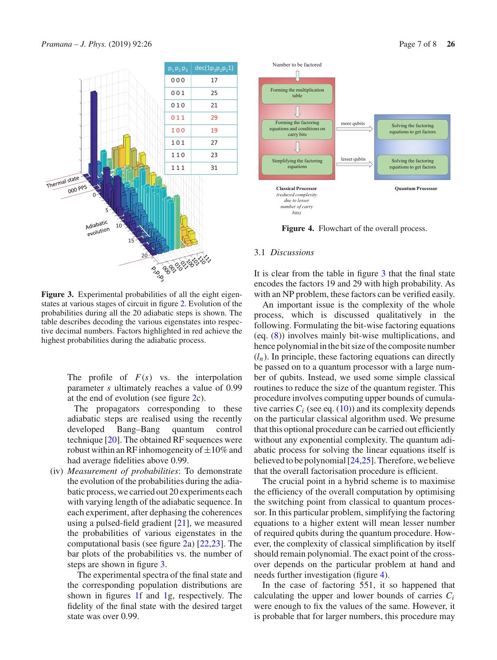

<span id="page-6-0"></span>**Figure 3.** Experimental probabilities of all the eight eigenstates at various stages of circuit in figure [2.](#page-5-1) Evolution of the probabilities during all the 20 adiabatic steps is shown. The table describes decoding the various eigenstates into respective decimal numbers. Factors highlighted in red achieve the highest probabilities during the adiabatic process.

The profile of *F*(*s*) vs. the interpolation parameter *s* ultimately reaches a value of 0.99 at the end of evolution (see figure [2c](#page-5-1)).

The propagators corresponding to these adiabatic steps are realised using the recently developed Bang–Bang quantum control technique [\[20](#page-7-18)]. The obtained RF sequences were robust within an RF inhomogeneity of  $\pm 10\%$  and had average fidelities above 0.99.

(iv) *Measurement of probabilities*: To demonstrate the evolution of the probabilities during the adiabatic process, we carried out 20 experiments each with varying length of the adiabatic sequence. In each experiment, after dephasing the coherences using a pulsed-field gradient [\[21](#page-7-19)], we measured the probabilities of various eigenstates in the computational basis (see figure [2a](#page-5-1)) [\[22](#page-7-20)[,23](#page-7-21)]. The bar plots of the probabilities vs. the number of steps are shown in figure [3.](#page-6-0)

The experimental spectra of the final state and the corresponding population distributions are shown in figures [1f](#page-5-0) and [1g](#page-5-0), respectively. The fidelity of the final state with the desired target state was over 0.99.



<span id="page-6-1"></span>**Figure 4.** Flowchart of the overall process.

#### 3.1 *Discussions*

It is clear from the table in figure [3](#page-6-0) that the final state encodes the factors 19 and 29 with high probability. As with an NP problem, these factors can be verified easily.

An important issue is the complexity of the whole process, which is discussed qualitatively in the following. Formulating the bit-wise factoring equations (eq. [\(8\)](#page-3-2)) involves mainly bit-wise multiplications, and hence polynomial in the bit size of the composite number  $(l_n)$ . In principle, these factoring equations can directly be passed on to a quantum processor with a large number of qubits. Instead, we used some simple classical routines to reduce the size of the quantum register. This procedure involves computing upper bounds of cumulative carries  $C_i$  (see eq.  $(10)$ ) and its complexity depends on the particular classical algorithm used. We presume that this optional procedure can be carried out efficiently without any exponential complexity. The quantum adiabatic process for solving the linear equations itself is believed to be polynomial [\[24](#page-7-22)[,25\]](#page-7-23). Therefore, we believe that the overall factorisation procedure is efficient.

The crucial point in a hybrid scheme is to maximise the efficiency of the overall computation by optimising the switching point from classical to quantum processor. In this particular problem, simplifying the factoring equations to a higher extent will mean lesser number of required qubits during the quantum procedure. However, the complexity of classical simplification by itself should remain polynomial. The exact point of the crossover depends on the particular problem at hand and needs further investigation (figure [4\)](#page-6-1).

In the case of factoring 551, it so happened that calculating the upper and lower bounds of carries *Ci* were enough to fix the values of the same. However, it is probable that for larger numbers, this procedure may